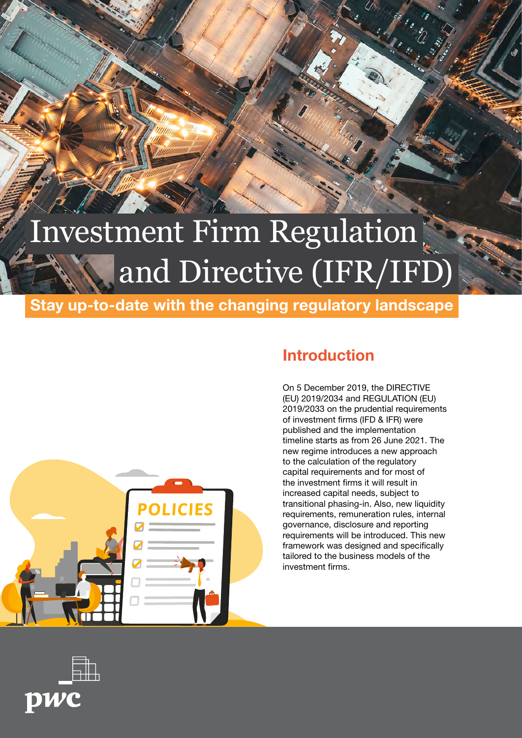# Investment Firm Regulation and Directive (IFR/IFD)

Stay up-to-date with the changing regulatory landscape



# Introduction

On 5 December 2019, the DIRECTIVE (EU) 2019/2034 and REGULATION (EU) 2019/2033 on the prudential requirements of investment firms (IFD & IFR) were published and the implementation timeline starts as from 26 June 2021. The new regime introduces a new approach to the calculation of the regulatory capital requirements and for most of the investment firms it will result in increased capital needs, subject to transitional phasing-in. Also, new liquidity requirements, remuneration rules, internal governance, disclosure and reporting requirements will be introduced. This new framework was designed and specifically tailored to the business models of the investment firms.